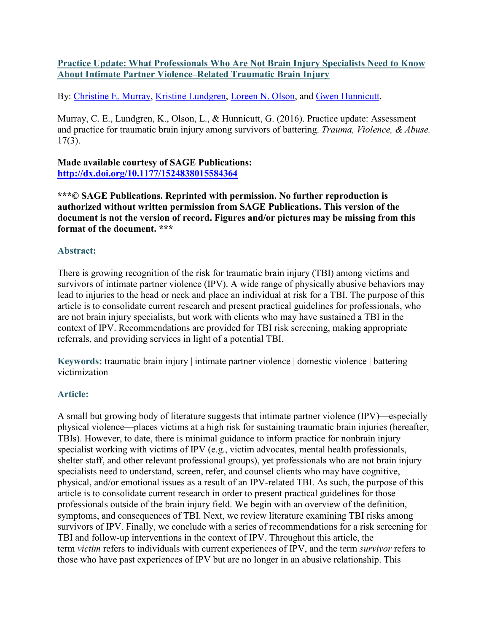# **Practice Update: What Professionals Who Are Not Brain Injury Specialists Need to Know About Intimate Partner Violence–Related Traumatic Brain Injury**

By: [Christine E. Murray,](http://libres.uncg.edu/ir/uncg/clist.aspx?id=894) [Kristine Lundgren,](http://libres.uncg.edu/ir/uncg/clist.aspx?id=1429) [Loreen N. Olson,](http://libres.uncg.edu/ir/uncg/clist.aspx?id=4771) and [Gwen Hunnicutt.](http://libres.uncg.edu/ir/uncg/clist.aspx?id=444)

Murray, C. E., Lundgren, K., Olson, L., & Hunnicutt, G. (2016). Practice update: Assessment and practice for traumatic brain injury among survivors of battering. *Trauma, Violence, & Abuse.* 17(3).

### **Made available courtesy of SAGE Publications: <http://dx.doi.org/10.1177/1524838015584364>**

**\*\*\*© SAGE Publications. Reprinted with permission. No further reproduction is authorized without written permission from SAGE Publications. This version of the document is not the version of record. Figures and/or pictures may be missing from this format of the document. \*\*\***

## **Abstract:**

There is growing recognition of the risk for traumatic brain injury (TBI) among victims and survivors of intimate partner violence (IPV). A wide range of physically abusive behaviors may lead to injuries to the head or neck and place an individual at risk for a TBI. The purpose of this article is to consolidate current research and present practical guidelines for professionals, who are not brain injury specialists, but work with clients who may have sustained a TBI in the context of IPV. Recommendations are provided for TBI risk screening, making appropriate referrals, and providing services in light of a potential TBI.

**Keywords:** traumatic brain injury | intimate partner violence | domestic violence | battering victimization

# **Article:**

A small but growing body of literature suggests that intimate partner violence (IPV)—especially physical violence—places victims at a high risk for sustaining traumatic brain injuries (hereafter, TBIs). However, to date, there is minimal guidance to inform practice for nonbrain injury specialist working with victims of IPV (e.g., victim advocates, mental health professionals, shelter staff, and other relevant professional groups), yet professionals who are not brain injury specialists need to understand, screen, refer, and counsel clients who may have cognitive, physical, and/or emotional issues as a result of an IPV-related TBI. As such, the purpose of this article is to consolidate current research in order to present practical guidelines for those professionals outside of the brain injury field. We begin with an overview of the definition, symptoms, and consequences of TBI. Next, we review literature examining TBI risks among survivors of IPV. Finally, we conclude with a series of recommendations for a risk screening for TBI and follow-up interventions in the context of IPV. Throughout this article, the term *victim* refers to individuals with current experiences of IPV, and the term *survivor* refers to those who have past experiences of IPV but are no longer in an abusive relationship. This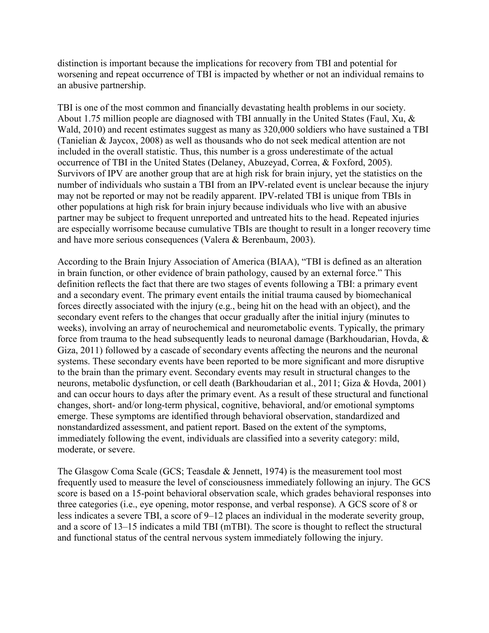distinction is important because the implications for recovery from TBI and potential for worsening and repeat occurrence of TBI is impacted by whether or not an individual remains to an abusive partnership.

TBI is one of the most common and financially devastating health problems in our society. About 1.75 million people are diagnosed with TBI annually in the United States (Faul, Xu, & Wald, 2010) and recent estimates suggest as many as 320,000 soldiers who have sustained a TBI (Tanielian & Jaycox, 2008) as well as thousands who do not seek medical attention are not included in the overall statistic. Thus, this number is a gross underestimate of the actual occurrence of TBI in the United States (Delaney, Abuzeyad, Correa, & Foxford, 2005). Survivors of IPV are another group that are at high risk for brain injury, yet the statistics on the number of individuals who sustain a TBI from an IPV-related event is unclear because the injury may not be reported or may not be readily apparent. IPV-related TBI is unique from TBIs in other populations at high risk for brain injury because individuals who live with an abusive partner may be subject to frequent unreported and untreated hits to the head. Repeated injuries are especially worrisome because cumulative TBIs are thought to result in a longer recovery time and have more serious consequences (Valera & Berenbaum, 2003).

According to the Brain Injury Association of America (BIAA), "TBI is defined as an alteration in brain function, or other evidence of brain pathology, caused by an external force." This definition reflects the fact that there are two stages of events following a TBI: a primary event and a secondary event. The primary event entails the initial trauma caused by biomechanical forces directly associated with the injury (e.g., being hit on the head with an object), and the secondary event refers to the changes that occur gradually after the initial injury (minutes to weeks), involving an array of neurochemical and neurometabolic events. Typically, the primary force from trauma to the head subsequently leads to neuronal damage (Barkhoudarian, Hovda, & Giza, 2011) followed by a cascade of secondary events affecting the neurons and the neuronal systems. These secondary events have been reported to be more significant and more disruptive to the brain than the primary event. Secondary events may result in structural changes to the neurons, metabolic dysfunction, or cell death (Barkhoudarian et al., 2011; Giza & Hovda, 2001) and can occur hours to days after the primary event. As a result of these structural and functional changes, short- and/or long-term physical, cognitive, behavioral, and/or emotional symptoms emerge. These symptoms are identified through behavioral observation, standardized and nonstandardized assessment, and patient report. Based on the extent of the symptoms, immediately following the event, individuals are classified into a severity category: mild, moderate, or severe.

The Glasgow Coma Scale (GCS; Teasdale & Jennett, 1974) is the measurement tool most frequently used to measure the level of consciousness immediately following an injury. The GCS score is based on a 15-point behavioral observation scale, which grades behavioral responses into three categories (i.e., eye opening, motor response, and verbal response). A GCS score of 8 or less indicates a severe TBI, a score of 9–12 places an individual in the moderate severity group, and a score of 13–15 indicates a mild TBI (mTBI). The score is thought to reflect the structural and functional status of the central nervous system immediately following the injury.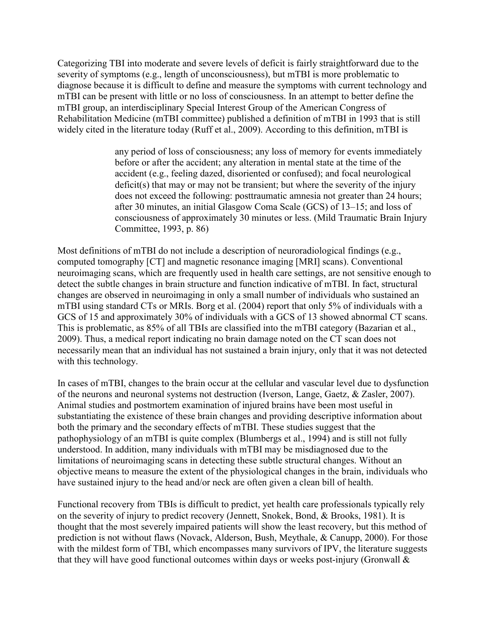Categorizing TBI into moderate and severe levels of deficit is fairly straightforward due to the severity of symptoms (e.g., length of unconsciousness), but mTBI is more problematic to diagnose because it is difficult to define and measure the symptoms with current technology and mTBI can be present with little or no loss of consciousness. In an attempt to better define the mTBI group, an interdisciplinary Special Interest Group of the American Congress of Rehabilitation Medicine (mTBI committee) published a definition of mTBI in 1993 that is still widely cited in the literature today (Ruff et al., 2009). According to this definition, mTBI is

> any period of loss of consciousness; any loss of memory for events immediately before or after the accident; any alteration in mental state at the time of the accident (e.g., feeling dazed, disoriented or confused); and focal neurological deficit(s) that may or may not be transient; but where the severity of the injury does not exceed the following: posttraumatic amnesia not greater than 24 hours; after 30 minutes, an initial Glasgow Coma Scale (GCS) of 13–15; and loss of consciousness of approximately 30 minutes or less. (Mild Traumatic Brain Injury Committee, 1993, p. 86)

Most definitions of mTBI do not include a description of neuroradiological findings (e.g., computed tomography [CT] and magnetic resonance imaging [MRI] scans). Conventional neuroimaging scans, which are frequently used in health care settings, are not sensitive enough to detect the subtle changes in brain structure and function indicative of mTBI. In fact, structural changes are observed in neuroimaging in only a small number of individuals who sustained an mTBI using standard CTs or MRIs. Borg et al. (2004) report that only 5% of individuals with a GCS of 15 and approximately 30% of individuals with a GCS of 13 showed abnormal CT scans. This is problematic, as 85% of all TBIs are classified into the mTBI category (Bazarian et al., 2009). Thus, a medical report indicating no brain damage noted on the CT scan does not necessarily mean that an individual has not sustained a brain injury, only that it was not detected with this technology.

In cases of mTBI, changes to the brain occur at the cellular and vascular level due to dysfunction of the neurons and neuronal systems not destruction (Iverson, Lange, Gaetz, & Zasler, 2007). Animal studies and postmortem examination of injured brains have been most useful in substantiating the existence of these brain changes and providing descriptive information about both the primary and the secondary effects of mTBI. These studies suggest that the pathophysiology of an mTBI is quite complex (Blumbergs et al., 1994) and is still not fully understood. In addition, many individuals with mTBI may be misdiagnosed due to the limitations of neuroimaging scans in detecting these subtle structural changes. Without an objective means to measure the extent of the physiological changes in the brain, individuals who have sustained injury to the head and/or neck are often given a clean bill of health.

Functional recovery from TBIs is difficult to predict, yet health care professionals typically rely on the severity of injury to predict recovery (Jennett, Snokek, Bond, & Brooks, 1981). It is thought that the most severely impaired patients will show the least recovery, but this method of prediction is not without flaws (Novack, Alderson, Bush, Meythale, & Canupp, 2000). For those with the mildest form of TBI, which encompasses many survivors of IPV, the literature suggests that they will have good functional outcomes within days or weeks post-injury (Gronwall  $\&$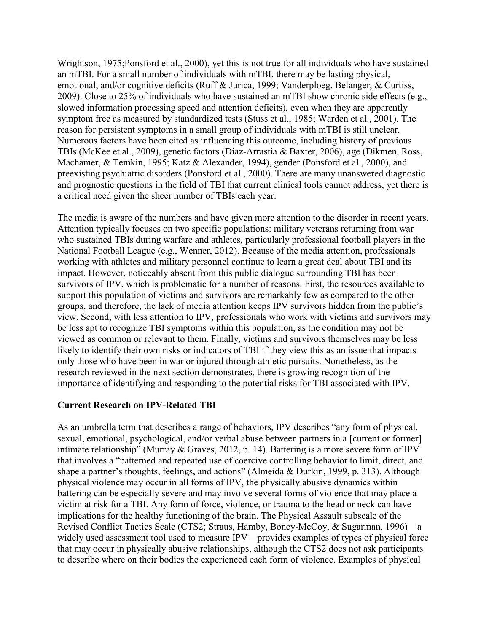Wrightson, 1975;Ponsford et al., 2000), yet this is not true for all individuals who have sustained an mTBI. For a small number of individuals with mTBI, there may be lasting physical, emotional, and/or cognitive deficits (Ruff & Jurica, 1999; Vanderploeg, Belanger, & Curtiss, 2009). Close to 25% of individuals who have sustained an mTBI show chronic side effects (e.g., slowed information processing speed and attention deficits), even when they are apparently symptom free as measured by standardized tests (Stuss et al., 1985; Warden et al., 2001). The reason for persistent symptoms in a small group of individuals with mTBI is still unclear. Numerous factors have been cited as influencing this outcome, including history of previous TBIs (McKee et al., 2009), genetic factors (Diaz-Arrastia & Baxter, 2006), age (Dikmen, Ross, Machamer, & Temkin, 1995; Katz & Alexander, 1994), gender (Ponsford et al., 2000), and preexisting psychiatric disorders (Ponsford et al., 2000). There are many unanswered diagnostic and prognostic questions in the field of TBI that current clinical tools cannot address, yet there is a critical need given the sheer number of TBIs each year.

The media is aware of the numbers and have given more attention to the disorder in recent years. Attention typically focuses on two specific populations: military veterans returning from war who sustained TBIs during warfare and athletes, particularly professional football players in the National Football League (e.g., Wenner, 2012). Because of the media attention, professionals working with athletes and military personnel continue to learn a great deal about TBI and its impact. However, noticeably absent from this public dialogue surrounding TBI has been survivors of IPV, which is problematic for a number of reasons. First, the resources available to support this population of victims and survivors are remarkably few as compared to the other groups, and therefore, the lack of media attention keeps IPV survivors hidden from the public's view. Second, with less attention to IPV, professionals who work with victims and survivors may be less apt to recognize TBI symptoms within this population, as the condition may not be viewed as common or relevant to them. Finally, victims and survivors themselves may be less likely to identify their own risks or indicators of TBI if they view this as an issue that impacts only those who have been in war or injured through athletic pursuits. Nonetheless, as the research reviewed in the next section demonstrates, there is growing recognition of the importance of identifying and responding to the potential risks for TBI associated with IPV.

### **Current Research on IPV-Related TBI**

As an umbrella term that describes a range of behaviors, IPV describes "any form of physical, sexual, emotional, psychological, and/or verbal abuse between partners in a [current or former] intimate relationship" (Murray & Graves, 2012, p. 14). Battering is a more severe form of IPV that involves a "patterned and repeated use of coercive controlling behavior to limit, direct, and shape a partner's thoughts, feelings, and actions" (Almeida & Durkin, 1999, p. 313). Although physical violence may occur in all forms of IPV, the physically abusive dynamics within battering can be especially severe and may involve several forms of violence that may place a victim at risk for a TBI. Any form of force, violence, or trauma to the head or neck can have implications for the healthy functioning of the brain. The Physical Assault subscale of the Revised Conflict Tactics Scale (CTS2; Straus, Hamby, Boney-McCoy, & Sugarman, 1996)—a widely used assessment tool used to measure IPV—provides examples of types of physical force that may occur in physically abusive relationships, although the CTS2 does not ask participants to describe where on their bodies the experienced each form of violence. Examples of physical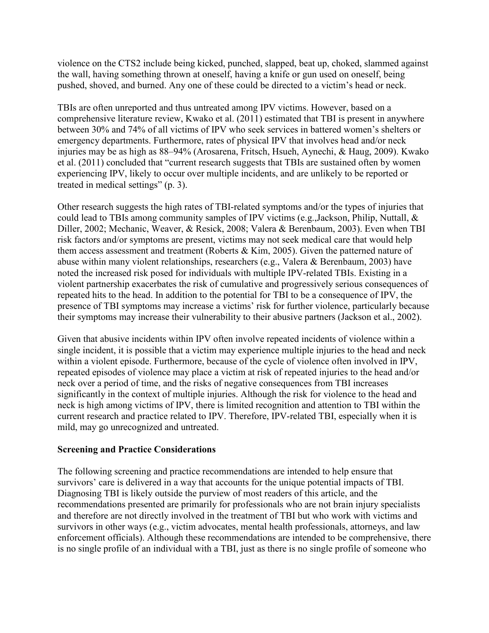violence on the CTS2 include being kicked, punched, slapped, beat up, choked, slammed against the wall, having something thrown at oneself, having a knife or gun used on oneself, being pushed, shoved, and burned. Any one of these could be directed to a victim's head or neck.

TBIs are often unreported and thus untreated among IPV victims. However, based on a comprehensive literature review, Kwako et al. (2011) estimated that TBI is present in anywhere between 30% and 74% of all victims of IPV who seek services in battered women's shelters or emergency departments. Furthermore, rates of physical IPV that involves head and/or neck injuries may be as high as 88–94% (Arosarena, Fritsch, Hsueh, Aynechi, & Haug, 2009). Kwako et al. (2011) concluded that "current research suggests that TBIs are sustained often by women experiencing IPV, likely to occur over multiple incidents, and are unlikely to be reported or treated in medical settings" (p. 3).

Other research suggests the high rates of TBI-related symptoms and/or the types of injuries that could lead to TBIs among community samples of IPV victims (e.g.,Jackson, Philip, Nuttall, & Diller, 2002; Mechanic, Weaver, & Resick, 2008; Valera & Berenbaum, 2003). Even when TBI risk factors and/or symptoms are present, victims may not seek medical care that would help them access assessment and treatment (Roberts & Kim, 2005). Given the patterned nature of abuse within many violent relationships, researchers (e.g., Valera & Berenbaum, 2003) have noted the increased risk posed for individuals with multiple IPV-related TBIs. Existing in a violent partnership exacerbates the risk of cumulative and progressively serious consequences of repeated hits to the head. In addition to the potential for TBI to be a consequence of IPV, the presence of TBI symptoms may increase a victims' risk for further violence, particularly because their symptoms may increase their vulnerability to their abusive partners (Jackson et al., 2002).

Given that abusive incidents within IPV often involve repeated incidents of violence within a single incident, it is possible that a victim may experience multiple injuries to the head and neck within a violent episode. Furthermore, because of the cycle of violence often involved in IPV, repeated episodes of violence may place a victim at risk of repeated injuries to the head and/or neck over a period of time, and the risks of negative consequences from TBI increases significantly in the context of multiple injuries. Although the risk for violence to the head and neck is high among victims of IPV, there is limited recognition and attention to TBI within the current research and practice related to IPV. Therefore, IPV-related TBI, especially when it is mild, may go unrecognized and untreated.

### **Screening and Practice Considerations**

The following screening and practice recommendations are intended to help ensure that survivors' care is delivered in a way that accounts for the unique potential impacts of TBI. Diagnosing TBI is likely outside the purview of most readers of this article, and the recommendations presented are primarily for professionals who are not brain injury specialists and therefore are not directly involved in the treatment of TBI but who work with victims and survivors in other ways (e.g., victim advocates, mental health professionals, attorneys, and law enforcement officials). Although these recommendations are intended to be comprehensive, there is no single profile of an individual with a TBI, just as there is no single profile of someone who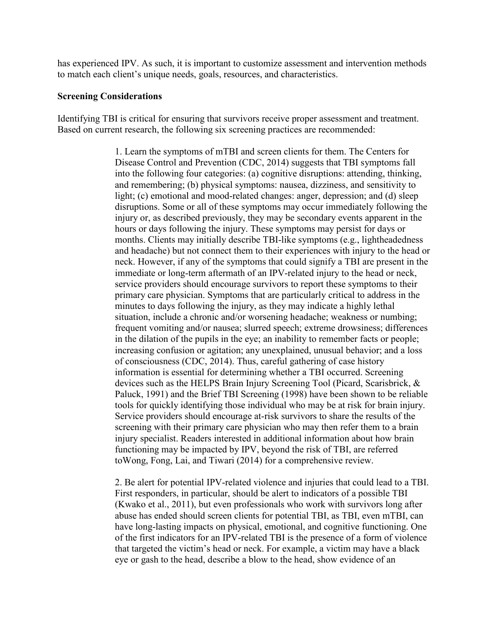has experienced IPV. As such, it is important to customize assessment and intervention methods to match each client's unique needs, goals, resources, and characteristics.

### **Screening Considerations**

Identifying TBI is critical for ensuring that survivors receive proper assessment and treatment. Based on current research, the following six screening practices are recommended:

> 1. Learn the symptoms of mTBI and screen clients for them. The Centers for Disease Control and Prevention (CDC, 2014) suggests that TBI symptoms fall into the following four categories: (a) cognitive disruptions: attending, thinking, and remembering; (b) physical symptoms: nausea, dizziness, and sensitivity to light; (c) emotional and mood-related changes: anger, depression; and (d) sleep disruptions. Some or all of these symptoms may occur immediately following the injury or, as described previously, they may be secondary events apparent in the hours or days following the injury. These symptoms may persist for days or months. Clients may initially describe TBI-like symptoms (e.g., lightheadedness and headache) but not connect them to their experiences with injury to the head or neck. However, if any of the symptoms that could signify a TBI are present in the immediate or long-term aftermath of an IPV-related injury to the head or neck, service providers should encourage survivors to report these symptoms to their primary care physician. Symptoms that are particularly critical to address in the minutes to days following the injury, as they may indicate a highly lethal situation, include a chronic and/or worsening headache; weakness or numbing; frequent vomiting and/or nausea; slurred speech; extreme drowsiness; differences in the dilation of the pupils in the eye; an inability to remember facts or people; increasing confusion or agitation; any unexplained, unusual behavior; and a loss of consciousness (CDC, 2014). Thus, careful gathering of case history information is essential for determining whether a TBI occurred. Screening devices such as the HELPS Brain Injury Screening Tool (Picard, Scarisbrick, & Paluck, 1991) and the Brief TBI Screening (1998) have been shown to be reliable tools for quickly identifying those individual who may be at risk for brain injury. Service providers should encourage at-risk survivors to share the results of the screening with their primary care physician who may then refer them to a brain injury specialist. Readers interested in additional information about how brain functioning may be impacted by IPV, beyond the risk of TBI, are referred toWong, Fong, Lai, and Tiwari (2014) for a comprehensive review.

> 2. Be alert for potential IPV-related violence and injuries that could lead to a TBI. First responders, in particular, should be alert to indicators of a possible TBI (Kwako et al., 2011), but even professionals who work with survivors long after abuse has ended should screen clients for potential TBI, as TBI, even mTBI, can have long-lasting impacts on physical, emotional, and cognitive functioning. One of the first indicators for an IPV-related TBI is the presence of a form of violence that targeted the victim's head or neck. For example, a victim may have a black eye or gash to the head, describe a blow to the head, show evidence of an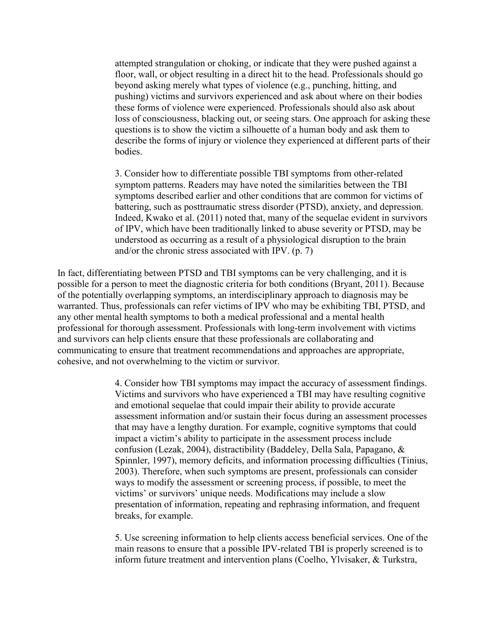attempted strangulation or choking, or indicate that they were pushed against a floor, wall, or object resulting in a direct hit to the head. Professionals should go beyond asking merely what types of violence (e.g., punching, hitting, and pushing) victims and survivors experienced and ask about where on their bodies these forms of violence were experienced. Professionals should also ask about loss of consciousness, blacking out, or seeing stars. One approach for asking these questions is to show the victim a silhouette of a human body and ask them to describe the forms of injury or violence they experienced at different parts of their bodies.

3. Consider how to differentiate possible TBI symptoms from other-related symptom patterns. Readers may have noted the similarities between the TBI symptoms described earlier and other conditions that are common for victims of battering, such as posttraumatic stress disorder (PTSD), anxiety, and depression. Indeed, Kwako et al. (2011) noted that, many of the sequelae evident in survivors of IPV, which have been traditionally linked to abuse severity or PTSD, may be understood as occurring as a result of a physiological disruption to the brain and/or the chronic stress associated with IPV. (p. 7)

In fact, differentiating between PTSD and TBI symptoms can be very challenging, and it is possible for a person to meet the diagnostic criteria for both conditions (Bryant, 2011). Because of the potentially overlapping symptoms, an interdisciplinary approach to diagnosis may be warranted. Thus, professionals can refer victims of IPV who may be exhibiting TBI, PTSD, and any other mental health symptoms to both a medical professional and a mental health professional for thorough assessment. Professionals with long-term involvement with victims and survivors can help clients ensure that these professionals are collaborating and communicating to ensure that treatment recommendations and approaches are appropriate, cohesive, and not overwhelming to the victim or survivor.

> 4. Consider how TBI symptoms may impact the accuracy of assessment findings. Victims and survivors who have experienced a TBI may have resulting cognitive and emotional sequelae that could impair their ability to provide accurate assessment information and/or sustain their focus during an assessment processes that may have a lengthy duration. For example, cognitive symptoms that could impact a victim's ability to participate in the assessment process include confusion (Lezak, 2004), distractibility (Baddeley, Della Sala, Papagano, & Spinnler, 1997), memory deficits, and information processing difficulties (Tinius, 2003). Therefore, when such symptoms are present, professionals can consider ways to modify the assessment or screening process, if possible, to meet the victims' or survivors' unique needs. Modifications may include a slow presentation of information, repeating and rephrasing information, and frequent breaks, for example.

> 5. Use screening information to help clients access beneficial services. One of the main reasons to ensure that a possible IPV-related TBI is properly screened is to inform future treatment and intervention plans (Coelho, Ylvisaker, & Turkstra,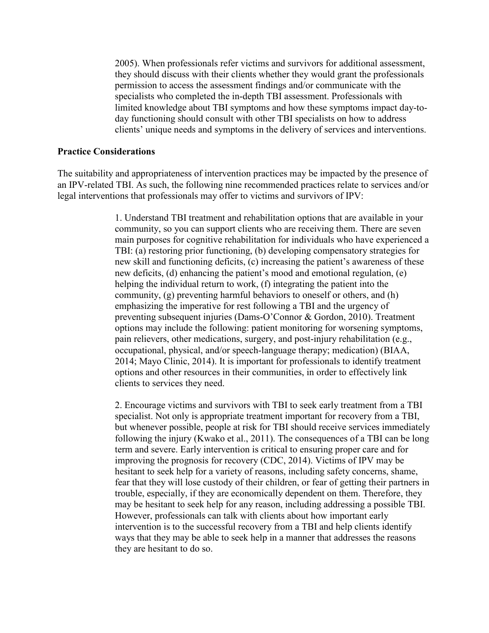2005). When professionals refer victims and survivors for additional assessment, they should discuss with their clients whether they would grant the professionals permission to access the assessment findings and/or communicate with the specialists who completed the in-depth TBI assessment. Professionals with limited knowledge about TBI symptoms and how these symptoms impact day-today functioning should consult with other TBI specialists on how to address clients' unique needs and symptoms in the delivery of services and interventions.

#### **Practice Considerations**

The suitability and appropriateness of intervention practices may be impacted by the presence of an IPV-related TBI. As such, the following nine recommended practices relate to services and/or legal interventions that professionals may offer to victims and survivors of IPV:

> 1. Understand TBI treatment and rehabilitation options that are available in your community, so you can support clients who are receiving them. There are seven main purposes for cognitive rehabilitation for individuals who have experienced a TBI: (a) restoring prior functioning, (b) developing compensatory strategies for new skill and functioning deficits, (c) increasing the patient's awareness of these new deficits, (d) enhancing the patient's mood and emotional regulation, (e) helping the individual return to work, (f) integrating the patient into the community, (g) preventing harmful behaviors to oneself or others, and (h) emphasizing the imperative for rest following a TBI and the urgency of preventing subsequent injuries (Dams-O'Connor & Gordon, 2010). Treatment options may include the following: patient monitoring for worsening symptoms, pain relievers, other medications, surgery, and post-injury rehabilitation (e.g., occupational, physical, and/or speech-language therapy; medication) (BIAA, 2014; Mayo Clinic, 2014). It is important for professionals to identify treatment options and other resources in their communities, in order to effectively link clients to services they need.

> 2. Encourage victims and survivors with TBI to seek early treatment from a TBI specialist. Not only is appropriate treatment important for recovery from a TBI, but whenever possible, people at risk for TBI should receive services immediately following the injury (Kwako et al., 2011). The consequences of a TBI can be long term and severe. Early intervention is critical to ensuring proper care and for improving the prognosis for recovery (CDC, 2014). Victims of IPV may be hesitant to seek help for a variety of reasons, including safety concerns, shame, fear that they will lose custody of their children, or fear of getting their partners in trouble, especially, if they are economically dependent on them. Therefore, they may be hesitant to seek help for any reason, including addressing a possible TBI. However, professionals can talk with clients about how important early intervention is to the successful recovery from a TBI and help clients identify ways that they may be able to seek help in a manner that addresses the reasons they are hesitant to do so.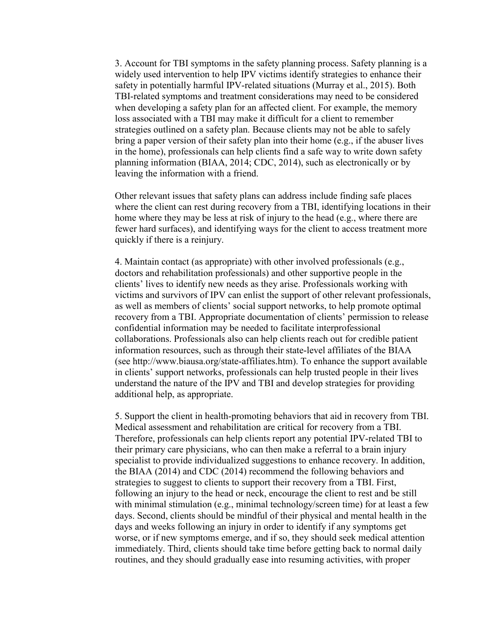3. Account for TBI symptoms in the safety planning process. Safety planning is a widely used intervention to help IPV victims identify strategies to enhance their safety in potentially harmful IPV-related situations (Murray et al., 2015). Both TBI-related symptoms and treatment considerations may need to be considered when developing a safety plan for an affected client. For example, the memory loss associated with a TBI may make it difficult for a client to remember strategies outlined on a safety plan. Because clients may not be able to safely bring a paper version of their safety plan into their home (e.g., if the abuser lives in the home), professionals can help clients find a safe way to write down safety planning information (BIAA, 2014; CDC, 2014), such as electronically or by leaving the information with a friend.

Other relevant issues that safety plans can address include finding safe places where the client can rest during recovery from a TBI, identifying locations in their home where they may be less at risk of injury to the head (e.g., where there are fewer hard surfaces), and identifying ways for the client to access treatment more quickly if there is a reinjury.

4. Maintain contact (as appropriate) with other involved professionals (e.g., doctors and rehabilitation professionals) and other supportive people in the clients' lives to identify new needs as they arise. Professionals working with victims and survivors of IPV can enlist the support of other relevant professionals, as well as members of clients' social support networks, to help promote optimal recovery from a TBI. Appropriate documentation of clients' permission to release confidential information may be needed to facilitate interprofessional collaborations. Professionals also can help clients reach out for credible patient information resources, such as through their state-level affiliates of the BIAA (see http://www.biausa.org/state-affiliates.htm). To enhance the support available in clients' support networks, professionals can help trusted people in their lives understand the nature of the IPV and TBI and develop strategies for providing additional help, as appropriate.

5. Support the client in health-promoting behaviors that aid in recovery from TBI. Medical assessment and rehabilitation are critical for recovery from a TBI. Therefore, professionals can help clients report any potential IPV-related TBI to their primary care physicians, who can then make a referral to a brain injury specialist to provide individualized suggestions to enhance recovery. In addition, the BIAA (2014) and CDC (2014) recommend the following behaviors and strategies to suggest to clients to support their recovery from a TBI. First, following an injury to the head or neck, encourage the client to rest and be still with minimal stimulation (e.g., minimal technology/screen time) for at least a few days. Second, clients should be mindful of their physical and mental health in the days and weeks following an injury in order to identify if any symptoms get worse, or if new symptoms emerge, and if so, they should seek medical attention immediately. Third, clients should take time before getting back to normal daily routines, and they should gradually ease into resuming activities, with proper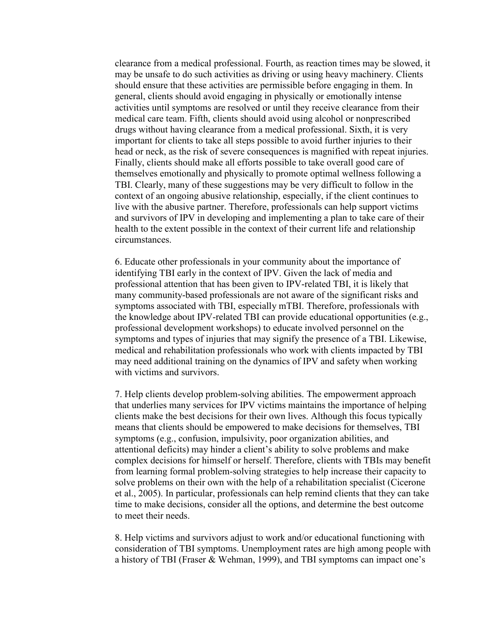clearance from a medical professional. Fourth, as reaction times may be slowed, it may be unsafe to do such activities as driving or using heavy machinery. Clients should ensure that these activities are permissible before engaging in them. In general, clients should avoid engaging in physically or emotionally intense activities until symptoms are resolved or until they receive clearance from their medical care team. Fifth, clients should avoid using alcohol or nonprescribed drugs without having clearance from a medical professional. Sixth, it is very important for clients to take all steps possible to avoid further injuries to their head or neck, as the risk of severe consequences is magnified with repeat injuries. Finally, clients should make all efforts possible to take overall good care of themselves emotionally and physically to promote optimal wellness following a TBI. Clearly, many of these suggestions may be very difficult to follow in the context of an ongoing abusive relationship, especially, if the client continues to live with the abusive partner. Therefore, professionals can help support victims and survivors of IPV in developing and implementing a plan to take care of their health to the extent possible in the context of their current life and relationship circumstances.

6. Educate other professionals in your community about the importance of identifying TBI early in the context of IPV. Given the lack of media and professional attention that has been given to IPV-related TBI, it is likely that many community-based professionals are not aware of the significant risks and symptoms associated with TBI, especially mTBI. Therefore, professionals with the knowledge about IPV-related TBI can provide educational opportunities (e.g., professional development workshops) to educate involved personnel on the symptoms and types of injuries that may signify the presence of a TBI. Likewise, medical and rehabilitation professionals who work with clients impacted by TBI may need additional training on the dynamics of IPV and safety when working with victims and survivors.

7. Help clients develop problem-solving abilities. The empowerment approach that underlies many services for IPV victims maintains the importance of helping clients make the best decisions for their own lives. Although this focus typically means that clients should be empowered to make decisions for themselves, TBI symptoms (e.g., confusion, impulsivity, poor organization abilities, and attentional deficits) may hinder a client's ability to solve problems and make complex decisions for himself or herself. Therefore, clients with TBIs may benefit from learning formal problem-solving strategies to help increase their capacity to solve problems on their own with the help of a rehabilitation specialist (Cicerone et al., 2005). In particular, professionals can help remind clients that they can take time to make decisions, consider all the options, and determine the best outcome to meet their needs.

8. Help victims and survivors adjust to work and/or educational functioning with consideration of TBI symptoms. Unemployment rates are high among people with a history of TBI (Fraser & Wehman, 1999), and TBI symptoms can impact one's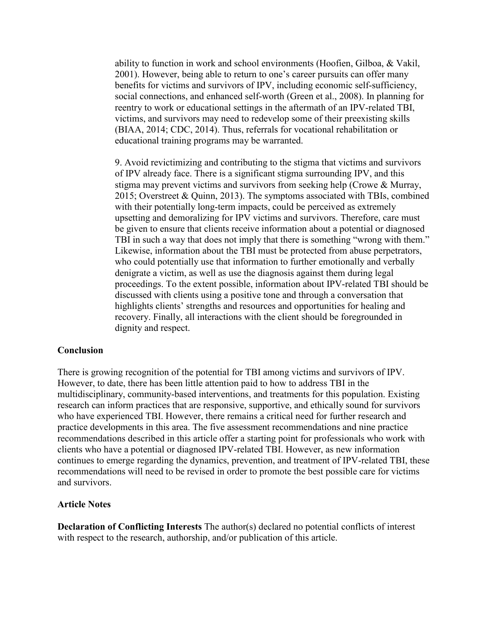ability to function in work and school environments (Hoofien, Gilboa, & Vakil, 2001). However, being able to return to one's career pursuits can offer many benefits for victims and survivors of IPV, including economic self-sufficiency, social connections, and enhanced self-worth (Green et al., 2008). In planning for reentry to work or educational settings in the aftermath of an IPV-related TBI, victims, and survivors may need to redevelop some of their preexisting skills (BIAA, 2014; CDC, 2014). Thus, referrals for vocational rehabilitation or educational training programs may be warranted.

9. Avoid revictimizing and contributing to the stigma that victims and survivors of IPV already face. There is a significant stigma surrounding IPV, and this stigma may prevent victims and survivors from seeking help (Crowe & Murray, 2015; Overstreet & Quinn, 2013). The symptoms associated with TBIs, combined with their potentially long-term impacts, could be perceived as extremely upsetting and demoralizing for IPV victims and survivors. Therefore, care must be given to ensure that clients receive information about a potential or diagnosed TBI in such a way that does not imply that there is something "wrong with them." Likewise, information about the TBI must be protected from abuse perpetrators, who could potentially use that information to further emotionally and verbally denigrate a victim, as well as use the diagnosis against them during legal proceedings. To the extent possible, information about IPV-related TBI should be discussed with clients using a positive tone and through a conversation that highlights clients' strengths and resources and opportunities for healing and recovery. Finally, all interactions with the client should be foregrounded in dignity and respect.

### **Conclusion**

There is growing recognition of the potential for TBI among victims and survivors of IPV. However, to date, there has been little attention paid to how to address TBI in the multidisciplinary, community-based interventions, and treatments for this population. Existing research can inform practices that are responsive, supportive, and ethically sound for survivors who have experienced TBI. However, there remains a critical need for further research and practice developments in this area. The five assessment recommendations and nine practice recommendations described in this article offer a starting point for professionals who work with clients who have a potential or diagnosed IPV-related TBI. However, as new information continues to emerge regarding the dynamics, prevention, and treatment of IPV-related TBI, these recommendations will need to be revised in order to promote the best possible care for victims and survivors.

#### **Article Notes**

**Declaration of Conflicting Interests** The author(s) declared no potential conflicts of interest with respect to the research, authorship, and/or publication of this article.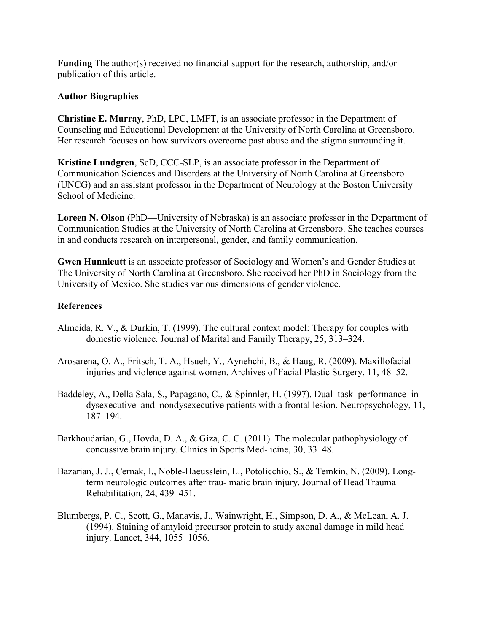**Funding** The author(s) received no financial support for the research, authorship, and/or publication of this article.

# **Author Biographies**

**Christine E. Murray**, PhD, LPC, LMFT, is an associate professor in the Department of Counseling and Educational Development at the University of North Carolina at Greensboro. Her research focuses on how survivors overcome past abuse and the stigma surrounding it.

**Kristine Lundgren**, ScD, CCC-SLP, is an associate professor in the Department of Communication Sciences and Disorders at the University of North Carolina at Greensboro (UNCG) and an assistant professor in the Department of Neurology at the Boston University School of Medicine.

**Loreen N. Olson** (PhD—University of Nebraska) is an associate professor in the Department of Communication Studies at the University of North Carolina at Greensboro. She teaches courses in and conducts research on interpersonal, gender, and family communication.

**Gwen Hunnicutt** is an associate professor of Sociology and Women's and Gender Studies at The University of North Carolina at Greensboro. She received her PhD in Sociology from the University of Mexico. She studies various dimensions of gender violence.

## **References**

- Almeida, R. V., & Durkin, T. (1999). The cultural context model: Therapy for couples with domestic violence. Journal of Marital and Family Therapy, 25, 313–324.
- Arosarena, O. A., Fritsch, T. A., Hsueh, Y., Aynehchi, B., & Haug, R. (2009). Maxillofacial injuries and violence against women. Archives of Facial Plastic Surgery, 11, 48–52.
- Baddeley, A., Della Sala, S., Papagano, C., & Spinnler, H. (1997). Dual task performance in dysexecutive and nondysexecutive patients with a frontal lesion. Neuropsychology, 11, 187–194.
- Barkhoudarian, G., Hovda, D. A., & Giza, C. C. (2011). The molecular pathophysiology of concussive brain injury. Clinics in Sports Med- icine, 30, 33–48.
- Bazarian, J. J., Cernak, I., Noble-Haeusslein, L., Potolicchio, S., & Temkin, N. (2009). Longterm neurologic outcomes after trau- matic brain injury. Journal of Head Trauma Rehabilitation, 24, 439–451.
- Blumbergs, P. C., Scott, G., Manavis, J., Wainwright, H., Simpson, D. A., & McLean, A. J. (1994). Staining of amyloid precursor protein to study axonal damage in mild head injury. Lancet, 344, 1055–1056.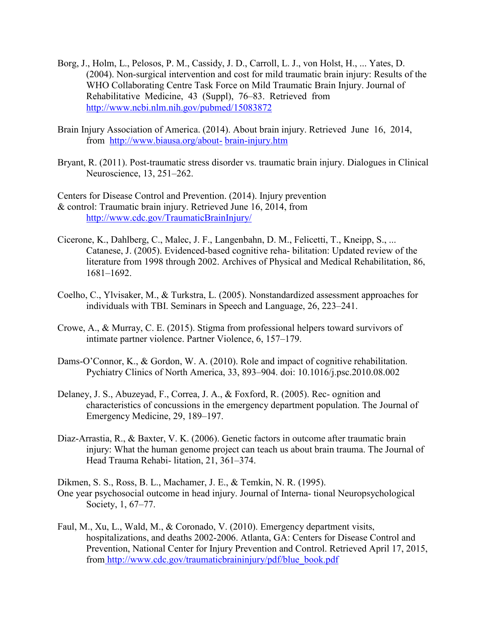- Borg, J., Holm, L., Pelosos, P. M., Cassidy, J. D., Carroll, L. J., von Holst, H., ... Yates, D. (2004). Non-surgical intervention and cost for mild traumatic brain injury: Results of the WHO Collaborating Centre Task Force on Mild Traumatic Br[ain Injury. Journal of](http://www.ncbi.nlm.nih.gov/pubmed/15083872) Rehabilitative Medicine, 43 (Suppl), 76–83. Retrieved from <http://www.ncbi.nlm.nih.gov/pubmed/15083872>
- Brain Injury Association of America. (2014). About brain injury. Retrieved June 16, 2014, from [http://www.biausa.org/about-](http://www.biausa.org/about-brain-injury.htm) [brain-injury.htm](http://www.biausa.org/about-brain-injury.htm)
- Bryant, R. (2011). Post-traumatic stress disorder vs. traumatic brain injury. Dialogues in Clinical Neuroscience, 13, 251–262.

Centers for Disease Control and Prevention. (2014). Injury prevention & control: Traumatic brain injury. Retrieved June 16, 2014, fro[m](http://www.cdc.gov/TraumaticBrainInjury/) <http://www.cdc.gov/TraumaticBrainInjury/>

- Cicerone, K., Dahlberg, C., Malec, J. F., Langenbahn, D. M., Felicetti, T., Kneipp, S., ... Catanese, J. (2005). Evidenced-based cognitive reha- bilitation: Updated review of the literature from 1998 through 2002. Archives of Physical and Medical Rehabilitation, 86, 1681–1692.
- Coelho, C., Ylvisaker, M., & Turkstra, L. (2005). Nonstandardized assessment approaches for individuals with TBI. Seminars in Speech and Language, 26, 223–241.
- Crowe, A., & Murray, C. E. (2015). Stigma from professional helpers toward survivors of intimate partner violence. Partner Violence, 6, 157–179.
- Dams-O'Connor, K., & Gordon, W. A. (2010). Role and impact of cognitive rehabilitation. Pychiatry Clinics of North America, 33, 893–904. doi: 10.1016/j.psc.2010.08.002
- Delaney, J. S., Abuzeyad, F., Correa, J. A., & Foxford, R. (2005). Rec- ognition and characteristics of concussions in the emergency department population. The Journal of Emergency Medicine, 29, 189–197.
- Diaz-Arrastia, R., & Baxter, V. K. (2006). Genetic factors in outcome after traumatic brain injury: What the human genome project can teach us about brain trauma. The Journal of Head Trauma Rehabi- litation, 21, 361–374.

Dikmen, S. S., Ross, B. L., Machamer, J. E., & Temkin, N. R. (1995). One year psychosocial outcome in head injury. Journal of Interna- tional Neuropsychological Society, 1, 67–77.

Faul, M., Xu, L., Wald, M., & Coronado, V. (2010). Emergency department visits, hospitalizations, and deaths 2002-2006. Atlanta, GA: Centers for Disease Control and Prevention, National Center for Injury Prevention and Control. Retrieved April 17, 2015, from [http://www.cdc.gov/traumaticbraininjury/pdf/blue\\_book.pdf](http://www.cdc.gov/traumaticbraininjury/pdf/blue_book.pdf)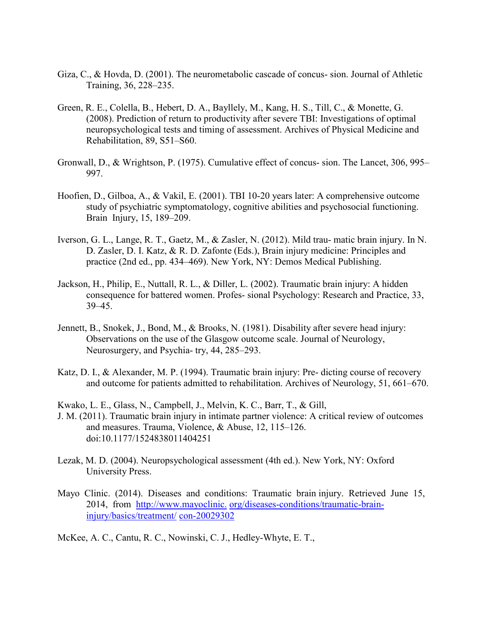- Giza, C., & Hovda, D. (2001). The neurometabolic cascade of concus- sion. Journal of Athletic Training, 36, 228–235.
- Green, R. E., Colella, B., Hebert, D. A., Bayllely, M., Kang, H. S., Till, C., & Monette, G. (2008). Prediction of return to productivity after severe TBI: Investigations of optimal neuropsychological tests and timing of assessment. Archives of Physical Medicine and Rehabilitation, 89, S51–S60.
- Gronwall, D., & Wrightson, P. (1975). Cumulative effect of concus- sion. The Lancet, 306, 995– 997.
- Hoofien, D., Gilboa, A., & Vakil, E. (2001). TBI 10-20 years later: A comprehensive outcome study of psychiatric symptomatology, cognitive abilities and psychosocial functioning. Brain Injury, 15, 189–209.
- Iverson, G. L., Lange, R. T., Gaetz, M., & Zasler, N. (2012). Mild trau- matic brain injury. In N. D. Zasler, D. I. Katz, & R. D. Zafonte (Eds.), Brain injury medicine: Principles and practice (2nd ed., pp. 434–469). New York, NY: Demos Medical Publishing.
- Jackson, H., Philip, E., Nuttall, R. L., & Diller, L. (2002). Traumatic brain injury: A hidden consequence for battered women. Profes- sional Psychology: Research and Practice, 33, 39–45.
- Jennett, B., Snokek, J., Bond, M., & Brooks, N. (1981). Disability after severe head injury: Observations on the use of the Glasgow outcome scale. Journal of Neurology, Neurosurgery, and Psychia- try, 44, 285–293.
- Katz, D. I., & Alexander, M. P. (1994). Traumatic brain injury: Pre- dicting course of recovery and outcome for patients admitted to rehabilitation. Archives of Neurology, 51, 661–670.
- Kwako, L. E., Glass, N., Campbell, J., Melvin, K. C., Barr, T., & Gill,
- J. M. (2011). Traumatic brain injury in intimate partner violence: A critical review of outcomes and measures. Trauma, Violence, & Abuse, 12, 115–126. doi:10.1177/1524838011404251
- Lezak, M. D. (2004). Neuropsychological assessment (4th ed.). New York, NY: Oxford University Press.
- Mayo Clinic. (2014). Diseases and conditions: Traumatic brain injury. Retrieved June 15, 2014, from [http://www.mayoclinic.](http://www.mayoclinic.org/diseases-conditions/traumatic-brain-injury/basics/treatment/con-20029302) [org/diseases-conditions/traumatic-brain](http://www.mayoclinic.org/diseases-conditions/traumatic-brain-injury/basics/treatment/con-20029302)[injury/basics/treatment/](http://www.mayoclinic.org/diseases-conditions/traumatic-brain-injury/basics/treatment/con-20029302) [con-20029302](http://www.mayoclinic.org/diseases-conditions/traumatic-brain-injury/basics/treatment/con-20029302)
- McKee, A. C., Cantu, R. C., Nowinski, C. J., Hedley-Whyte, E. T.,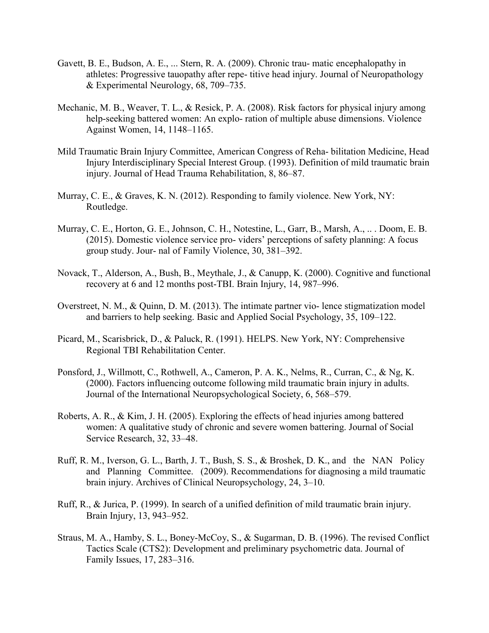- Gavett, B. E., Budson, A. E., ... Stern, R. A. (2009). Chronic trau- matic encephalopathy in athletes: Progressive tauopathy after repe- titive head injury. Journal of Neuropathology & Experimental Neurology, 68, 709–735.
- Mechanic, M. B., Weaver, T. L., & Resick, P. A. (2008). Risk factors for physical injury among help-seeking battered women: An explo- ration of multiple abuse dimensions. Violence Against Women, 14, 1148–1165.
- Mild Traumatic Brain Injury Committee, American Congress of Reha- bilitation Medicine, Head Injury Interdisciplinary Special Interest Group. (1993). Definition of mild traumatic brain injury. Journal of Head Trauma Rehabilitation, 8, 86–87.
- Murray, C. E., & Graves, K. N. (2012). Responding to family violence. New York, NY: Routledge.
- Murray, C. E., Horton, G. E., Johnson, C. H., Notestine, L., Garr, B., Marsh, A., .. . Doom, E. B. (2015). Domestic violence service pro- viders' perceptions of safety planning: A focus group study. Jour- nal of Family Violence, 30, 381–392.
- Novack, T., Alderson, A., Bush, B., Meythale, J., & Canupp, K. (2000). Cognitive and functional recovery at 6 and 12 months post-TBI. Brain Injury, 14, 987–996.
- Overstreet, N. M., & Quinn, D. M. (2013). The intimate partner vio- lence stigmatization model and barriers to help seeking. Basic and Applied Social Psychology, 35, 109–122.
- Picard, M., Scarisbrick, D., & Paluck, R. (1991). HELPS. New York, NY: Comprehensive Regional TBI Rehabilitation Center.
- Ponsford, J., Willmott, C., Rothwell, A., Cameron, P. A. K., Nelms, R., Curran, C., & Ng, K. (2000). Factors influencing outcome following mild traumatic brain injury in adults. Journal of the International Neuropsychological Society, 6, 568–579.
- Roberts, A. R., & Kim, J. H. (2005). Exploring the effects of head injuries among battered women: A qualitative study of chronic and severe women battering. Journal of Social Service Research, 32, 33–48.
- Ruff, R. M., Iverson, G. L., Barth, J. T., Bush, S. S., & Broshek, D. K., and the NAN Policy and Planning Committee. (2009). Recommendations for diagnosing a mild traumatic brain injury. Archives of Clinical Neuropsychology, 24, 3–10.
- Ruff, R., & Jurica, P. (1999). In search of a unified definition of mild traumatic brain injury. Brain Injury, 13, 943–952.
- Straus, M. A., Hamby, S. L., Boney-McCoy, S., & Sugarman, D. B. (1996). The revised Conflict Tactics Scale (CTS2): Development and preliminary psychometric data. Journal of Family Issues, 17, 283–316.